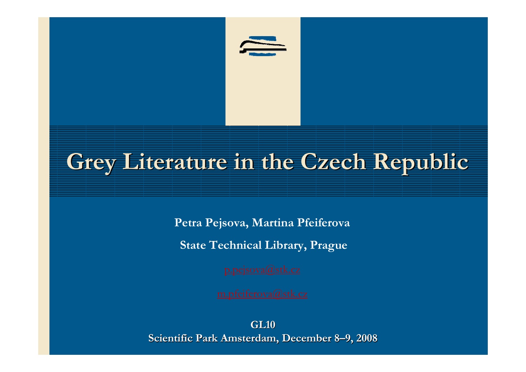

### **Grey Literature in the Czech Republic**

**Petra Pejsova, Martina Pfeiferova**

**State Technical Library, Prague**

**GL10Scientific Park Amsterdam, December 8–9, 2008**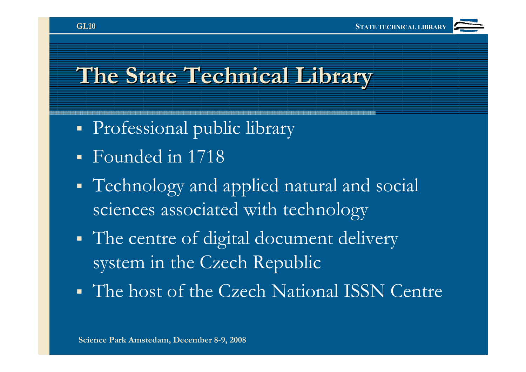

#### **The State Technical Library**

- Professional public library
- Founded in 1718
- **CONTRACTOR**  Technology and applied natural and social sciences associated with technology
- The centre of digital document delivery system in the Czech Republic
- The host of the Czech National ISSN Centre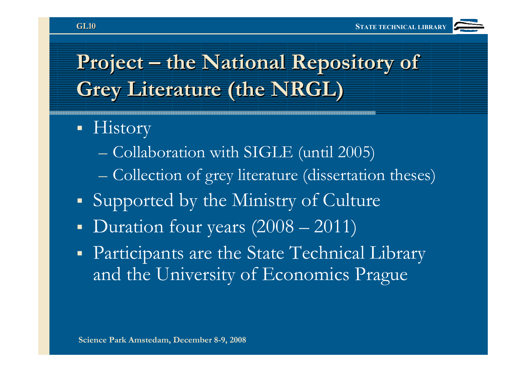

#### **Project – the National Repository of Grey Literature (the NRGL)**

- History
	- –Collaboration with SIGLE (until 2005)
	- Collection of grey literature (dissertation theses)
- Supported by the Ministry of Culture
- Duration four years  $(2008 2011)$
- Ξ Participants are the State Technical Library and the University of Economics Prague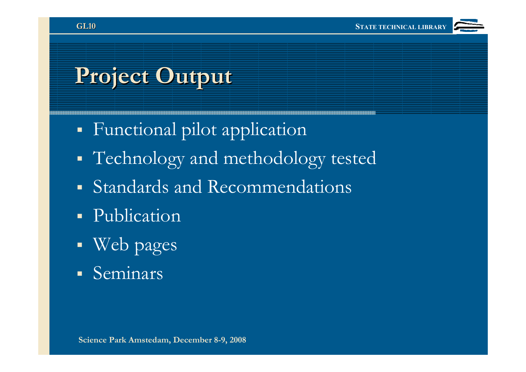### **Project Output**

- Functional pilot application
- Technology and methodology tested
- Standards and Recommendations
- Publication
- Ξ Web pages
- Seminars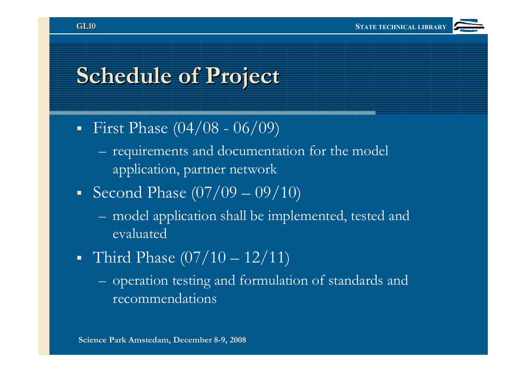### **Schedule of Project**

- First Phase  $(04/08 06/09)$ 
	- requirements and documentation for the model application, partner network
- Second Phase  $(07/09 09/10)$ 
	- model application shall be implemented, tested and evaluated
- **CONTRACTOR** • Third Phase  $(07/10 - 12/11)$ 
	- $-$  operation testing and formulation of standards and recommendations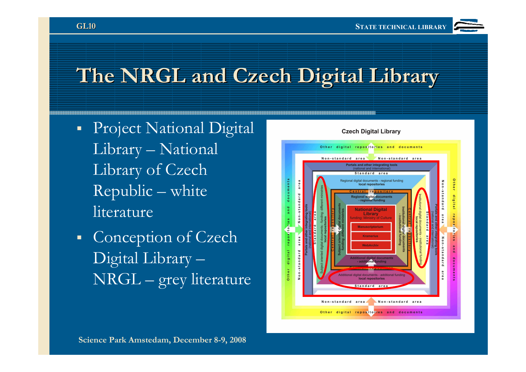

#### **The NRGL and Czech Digital Library**

- **Project National Digital** Library – National Library of Czech Republic – white literature
- Conception of Czech Digital Library –NRGL – grey literature

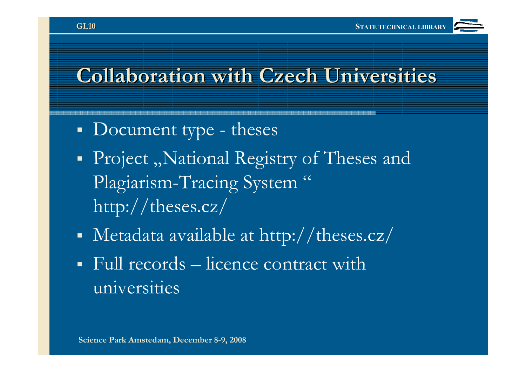

#### **Collaboration with Czech Universities**

- Document type theses
- Project "National Registry of Theses and Plagiarism-Tracing System" http://theses.cz/
- Metadata available at http://theses.cz/
- **CONTRACTOR** Full records – licence contract with universities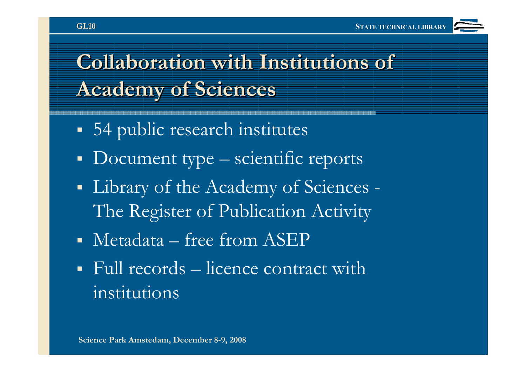

#### **Collaboration with Institutions of Academy of Sciences**

- 54 public research institutes
- Document type scientific reports
- Library of the Academy of Sciences The Register of Publication Activity
- Metadata free from ASEP
- Full records licence contract with institutions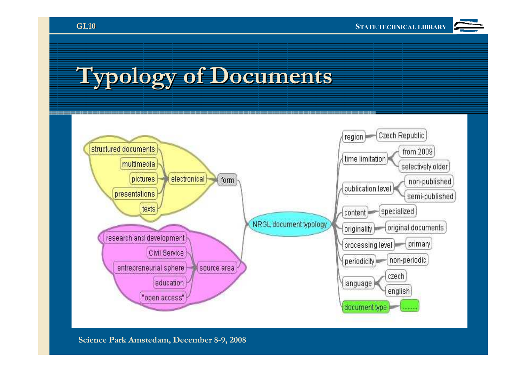

# **Typology of Documents**



**Science Park Amstedam, December 8-9, 2008**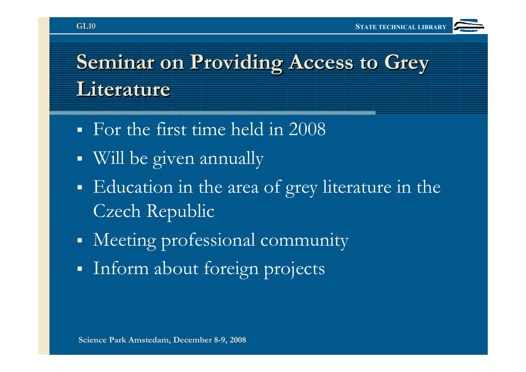

#### **Seminar on Providing Access to Grey Literature**

- For the first time held in 2008
- Will be given annually
- Education in the area of grey literature in the Czech Republic
- Meeting professional community
- Inform about foreign projects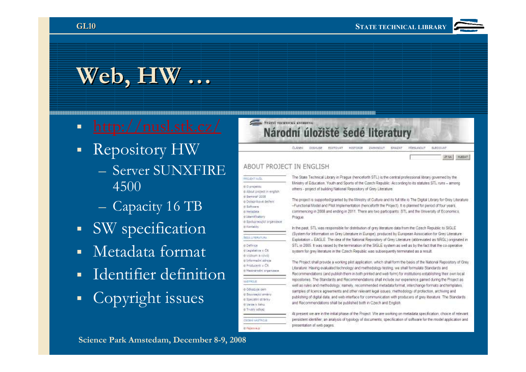

AT NA LINARAT

## **Web, HW …**

- **CONTRACTOR**
- Repository HW
	- $\equiv$  Server Suis - Server SUNXFIRE 4500
	- Capacity 16 TB
- SW specification
- Metadata format
- Identifier definition
- Copyright issues

#### STATSI TECHNICKÁ KNIHOVNA Národní úložiště šedé literatury

**SRED MOUT** 白胡椒的 CISKUSE EDITOVAT HISTORIE ZANKNOIT SHAZAT

#### ABOUT PROJECT IN ENGLISH

| <b>PROJECTIVITY</b>         |
|-----------------------------|
| th D projektu.              |
| a About project in english  |
| @ Seminal 2005              |
| 4 Dotabrikové šetření       |
| # Software                  |
| di Metridoca :              |
| It Identifikators           |
| d Spolup/poul of programmer |
| it Kertingha                |
|                             |
| <b>BEEALITERATURA</b>       |
| o Definice                  |
| € Lugislativa y CR.         |
| @ Výzkum a vývo)            |
| it Informatri zilrine       |
| at Productional U.C.R.      |

a Hermandol programos

**Lieran** 

o Odkazirie sem

it Varza k faku a Truski odkaz

**COOSH UASTACA** 

**IS PERIODIKAL** 

it Souvaujai aminy

& Specialiti strailly

The State Technical Library in Prague (henceforth STL) is the central professional library governed by the Ministry of Education, Youth and Sports of the Czech Republic. According to its statutes STL runs - among others - project of building National Repository of Grey Literature.

The project is supported/granted by the Ministry of Culture and its full title is The Digital Library for Grey Literature -Functional Model and Phot Implementation (henceforth the Project). It is planned for period of four years, commencing in 2008 and ending in 2011. There are two participants: STL and the University of Economics. Prague.

In the past. STL was responsible for distribution of grey literature data from the Czech Republic to SIGLE (System for Information on Grey Literature in Europe), produced by European Association for Grey Literature Exploitation - EAGLE The idea of the National Repository of Grey Literature (abbreviated as NRGL) originated in STL in 2005. It was raised by the termination of the SIGLE system as well as by the fact that the co-operative system for grey literature in the Czech Republic was subsequently terminated as a result.

The Project shall provide a working plot application, which shall form the basis of the National Repository of Grey Literature. Having evaluated technology and methodology testing, we shall formulate Standards and Recommendations (and publish them in both printed and web form) for institutions establishing their own local repositories. The Standards and Recommendations shall include our experience gained during the Project as well as rules and methodology, namely, recommended metadata format, interchange formats and templates. samples of licence agreements and other relevant legal issues, methodology of protection, archiving and publishing of digital data, and web interface for communication with producers of grey literature. The Standards and Recommendations shall be published both in Ozech and English.

At present we are in the initial phase of the Project VVe are working on metadata specification, choice of relevant persistent identifier, an analysis of typology of documents, specification of software for the model application and presentation of web pages.